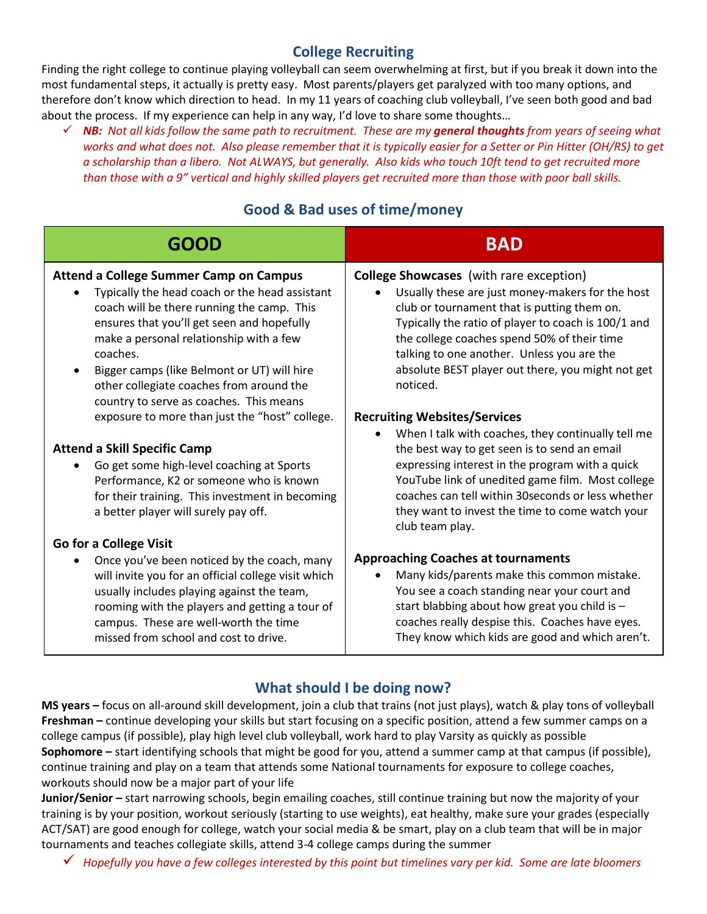## **College Recruiting**

Finding the right college to continue playing volleyball can seem overwhelming at first, but if you break it down into the most fundamental steps, it actually is pretty easy. Most parents/players get paralyzed with too many options, and therefore don't know which direction to head. In my 11 years of coaching club volleyball, I've seen both good and bad about the process. If my experience can help in any way, I'd love to share some thoughts…

 *NB: Not all kids follow the same path to recruitment. These are my general thoughts from years of seeing what works and what does not. Also please remember that it is typically easier for a Setter or Pin Hitter (OH/RS) to get a scholarship than a libero. Not ALWAYS, but generally. Also kids who touch 10ft tend to get recruited more than those with a 9" vertical and highly skilled players get recruited more than those with poor ball skills.* 

# **Good & Bad uses of time/money**

| <b>GOOD</b>                                                                                                                                                                                                                                                                                                                                                                                                                                | <b>BAD</b>                                                                                                                                                                                                                                                                                                                                                                                                    |
|--------------------------------------------------------------------------------------------------------------------------------------------------------------------------------------------------------------------------------------------------------------------------------------------------------------------------------------------------------------------------------------------------------------------------------------------|---------------------------------------------------------------------------------------------------------------------------------------------------------------------------------------------------------------------------------------------------------------------------------------------------------------------------------------------------------------------------------------------------------------|
| <b>Attend a College Summer Camp on Campus</b><br>Typically the head coach or the head assistant<br>coach will be there running the camp. This<br>ensures that you'll get seen and hopefully<br>make a personal relationship with a few<br>coaches.<br>Bigger camps (like Belmont or UT) will hire<br>other collegiate coaches from around the<br>country to serve as coaches. This means<br>exposure to more than just the "host" college. | <b>College Showcases</b> (with rare exception)<br>Usually these are just money-makers for the host<br>club or tournament that is putting them on.<br>Typically the ratio of player to coach is 100/1 and<br>the college coaches spend 50% of their time<br>talking to one another. Unless you are the<br>absolute BEST player out there, you might not get<br>noticed.<br><b>Recruiting Websites/Services</b> |
| <b>Attend a Skill Specific Camp</b><br>Go get some high-level coaching at Sports<br>Performance, K2 or someone who is known<br>for their training. This investment in becoming<br>a better player will surely pay off.                                                                                                                                                                                                                     | When I talk with coaches, they continually tell me<br>$\bullet$<br>the best way to get seen is to send an email<br>expressing interest in the program with a quick<br>YouTube link of unedited game film. Most college<br>coaches can tell within 30 seconds or less whether<br>they want to invest the time to come watch your<br>club team play.                                                            |
| Go for a College Visit<br>Once you've been noticed by the coach, many<br>will invite you for an official college visit which<br>usually includes playing against the team,<br>rooming with the players and getting a tour of<br>campus. These are well-worth the time<br>missed from school and cost to drive.                                                                                                                             | <b>Approaching Coaches at tournaments</b><br>Many kids/parents make this common mistake.<br>You see a coach standing near your court and<br>start blabbing about how great you child is -<br>coaches really despise this. Coaches have eyes.<br>They know which kids are good and which aren't.                                                                                                               |

## **What should I be doing now?**

**MS years –** focus on all-around skill development, join a club that trains (not just plays), watch & play tons of volleyball **Freshman –** continue developing your skills but start focusing on a specific position, attend a few summer camps on a college campus (if possible), play high level club volleyball, work hard to play Varsity as quickly as possible **Sophomore –** start identifying schools that might be good for you, attend a summer camp at that campus (if possible), continue training and play on a team that attends some National tournaments for exposure to college coaches, workouts should now be a major part of your life

**Junior/Senior –** start narrowing schools, begin emailing coaches, still continue training but now the majority of your training is by your position, workout seriously (starting to use weights), eat healthy, make sure your grades (especially ACT/SAT) are good enough for college, watch your social media & be smart, play on a club team that will be in major tournaments and teaches collegiate skills, attend 3-4 college camps during the summer

*Hopefully you have a few colleges interested by this point but timelines vary per kid. Some are late bloomers*